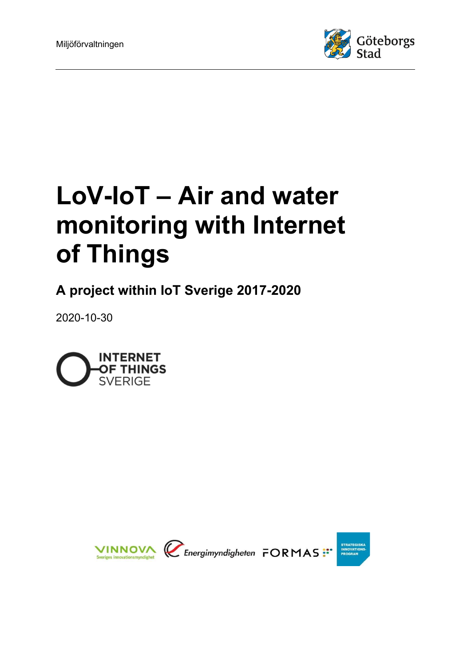

# LoV-IoT – Air and water monitoring with Internet of Things

A project within IoT Sverige 2017-2020

2020-10-30



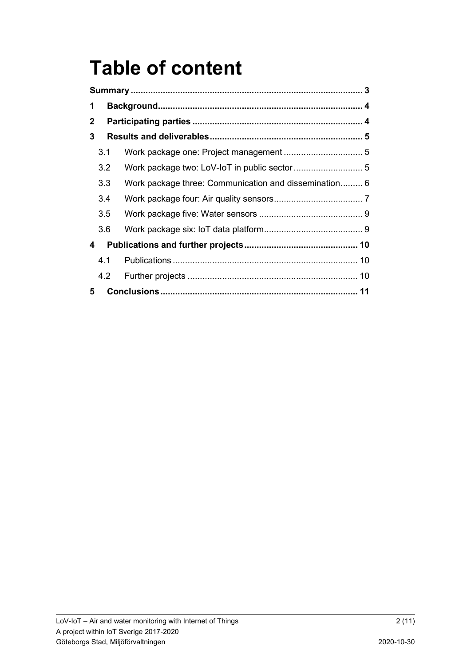## Table of content

| 1            |               |                                                       |  |  |
|--------------|---------------|-------------------------------------------------------|--|--|
| $\mathbf{2}$ |               |                                                       |  |  |
| 3            |               |                                                       |  |  |
|              | 3.1           |                                                       |  |  |
|              | 3.2           |                                                       |  |  |
|              | 3.3           | Work package three: Communication and dissemination 6 |  |  |
|              | 3.4           |                                                       |  |  |
|              | 3.5           |                                                       |  |  |
|              | 3.6           |                                                       |  |  |
| 4            |               |                                                       |  |  |
|              | 4.1           |                                                       |  |  |
|              | $4.2^{\circ}$ |                                                       |  |  |
| 5            |               |                                                       |  |  |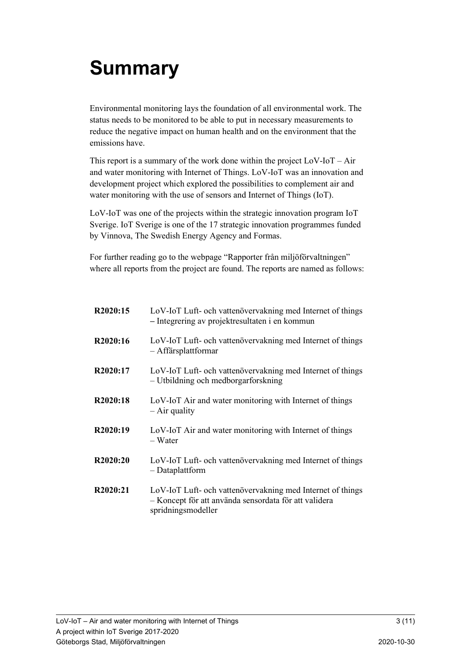## Summary

Environmental monitoring lays the foundation of all environmental work. The status needs to be monitored to be able to put in necessary measurements to reduce the negative impact on human health and on the environment that the emissions have.

This report is a summary of the work done within the project  $LoV$ - $IoT - Air$ and water monitoring with Internet of Things. LoV-IoT was an innovation and development project which explored the possibilities to complement air and water monitoring with the use of sensors and Internet of Things (IoT).

LoV-IoT was one of the projects within the strategic innovation program IoT Sverige. IoT Sverige is one of the 17 strategic innovation programmes funded by Vinnova, The Swedish Energy Agency and Formas.

For further reading go to the webpage "Rapporter från miljöförvaltningen" where all reports from the project are found. The reports are named as follows:

| R2020:15              | LoV-IoT Luft- och vattenövervakning med Internet of things<br>- Integrering av projektresultaten i en kommun                              |
|-----------------------|-------------------------------------------------------------------------------------------------------------------------------------------|
| R2020:16              | LoV-IoT Luft- och vattenövervakning med Internet of things<br>- Affärsplattformar                                                         |
| R <sub>2020</sub> :17 | LoV-IoT Luft- och vattenövervakning med Internet of things<br>- Utbildning och medborgarforskning                                         |
| R <sub>2020</sub> :18 | LoV-IoT Air and water monitoring with Internet of things<br>$-$ Air quality                                                               |
| R2020:19              | LoV-IoT Air and water monitoring with Internet of things<br>– Water                                                                       |
| R <sub>2020</sub> :20 | LoV-IoT Luft- och vattenövervakning med Internet of things<br>- Dataplattform                                                             |
| R2020:21              | LoV-IoT Luft- och vattenövervakning med Internet of things<br>- Koncept för att använda sensordata för att validera<br>spridningsmodeller |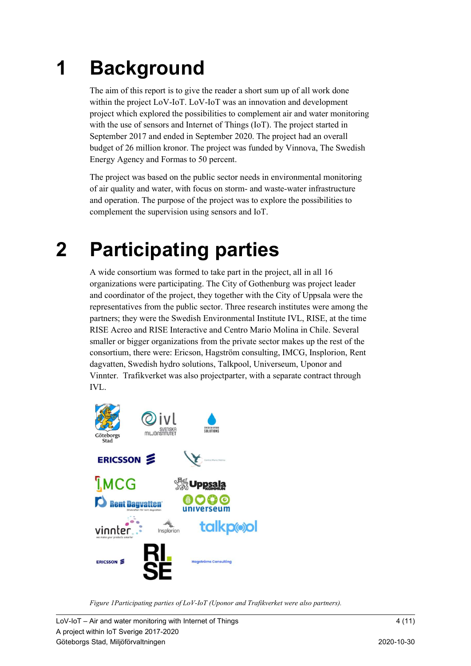## 1 Background

The aim of this report is to give the reader a short sum up of all work done within the project LoV-IoT. LoV-IoT was an innovation and development project which explored the possibilities to complement air and water monitoring with the use of sensors and Internet of Things (IoT). The project started in September 2017 and ended in September 2020. The project had an overall budget of 26 million kronor. The project was funded by Vinnova, The Swedish Energy Agency and Formas to 50 percent.

The project was based on the public sector needs in environmental monitoring of air quality and water, with focus on storm- and waste-water infrastructure and operation. The purpose of the project was to explore the possibilities to complement the supervision using sensors and IoT.

## 2 Participating parties

A wide consortium was formed to take part in the project, all in all 16 organizations were participating. The City of Gothenburg was project leader and coordinator of the project, they together with the City of Uppsala were the representatives from the public sector. Three research institutes were among the partners; they were the Swedish Environmental Institute IVL, RISE, at the time RISE Acreo and RISE Interactive and Centro Mario Molina in Chile. Several smaller or bigger organizations from the private sector makes up the rest of the consortium, there were: Ericson, Hagström consulting, IMCG, Insplorion, Rent dagvatten, Swedish hydro solutions, Talkpool, Universeum, Uponor and Vinnter. Trafikverket was also projectparter, with a separate contract through IVL.



Figure 1Participating parties of LoV-IoT (Uponor and Trafikverket were also partners).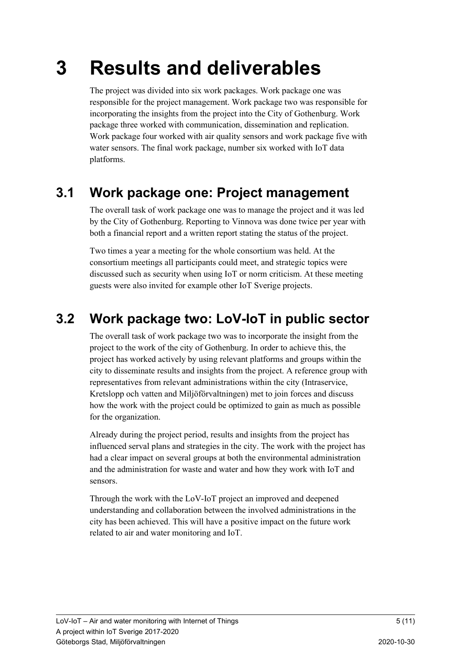## 3 Results and deliverables

The project was divided into six work packages. Work package one was responsible for the project management. Work package two was responsible for incorporating the insights from the project into the City of Gothenburg. Work package three worked with communication, dissemination and replication. Work package four worked with air quality sensors and work package five with water sensors. The final work package, number six worked with IoT data platforms.

### 3.1 Work package one: Project management

The overall task of work package one was to manage the project and it was led by the City of Gothenburg. Reporting to Vinnova was done twice per year with both a financial report and a written report stating the status of the project.

Two times a year a meeting for the whole consortium was held. At the consortium meetings all participants could meet, and strategic topics were discussed such as security when using IoT or norm criticism. At these meeting guests were also invited for example other IoT Sverige projects.

### 3.2 Work package two: LoV-IoT in public sector

The overall task of work package two was to incorporate the insight from the project to the work of the city of Gothenburg. In order to achieve this, the project has worked actively by using relevant platforms and groups within the city to disseminate results and insights from the project. A reference group with representatives from relevant administrations within the city (Intraservice, Kretslopp och vatten and Miljöförvaltningen) met to join forces and discuss how the work with the project could be optimized to gain as much as possible for the organization.

Already during the project period, results and insights from the project has influenced serval plans and strategies in the city. The work with the project has had a clear impact on several groups at both the environmental administration and the administration for waste and water and how they work with IoT and sensors.

Through the work with the LoV-IoT project an improved and deepened understanding and collaboration between the involved administrations in the city has been achieved. This will have a positive impact on the future work related to air and water monitoring and IoT.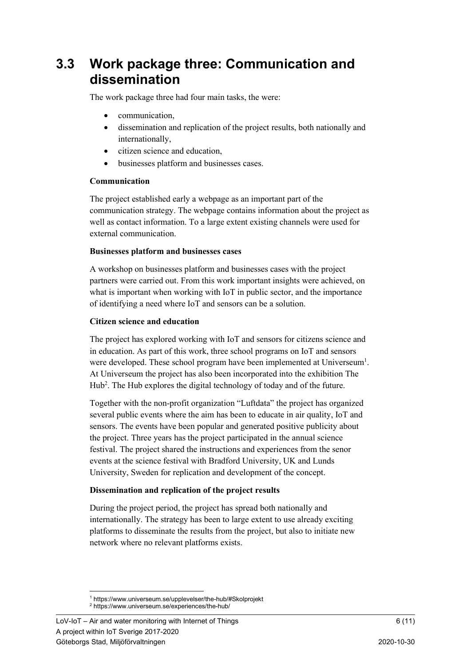### 3.3 Work package three: Communication and dissemination

The work package three had four main tasks, the were:

- communication,
- dissemination and replication of the project results, both nationally and internationally,
- citizen science and education,
- businesses platform and businesses cases.

#### Communication

The project established early a webpage as an important part of the communication strategy. The webpage contains information about the project as well as contact information. To a large extent existing channels were used for external communication.

#### Businesses platform and businesses cases

A workshop on businesses platform and businesses cases with the project partners were carried out. From this work important insights were achieved, on what is important when working with IoT in public sector, and the importance of identifying a need where IoT and sensors can be a solution.

#### Citizen science and education

The project has explored working with IoT and sensors for citizens science and in education. As part of this work, three school programs on IoT and sensors were developed. These school program have been implemented at Universeum<sup>1</sup>. At Universeum the project has also been incorporated into the exhibition The Hub<sup>2</sup>. The Hub explores the digital technology of today and of the future.

Together with the non-profit organization "Luftdata" the project has organized several public events where the aim has been to educate in air quality, IoT and sensors. The events have been popular and generated positive publicity about the project. Three years has the project participated in the annual science festival. The project shared the instructions and experiences from the senor events at the science festival with Bradford University, UK and Lunds University, Sweden for replication and development of the concept.

#### Dissemination and replication of the project results

During the project period, the project has spread both nationally and internationally. The strategy has been to large extent to use already exciting platforms to disseminate the results from the project, but also to initiate new network where no relevant platforms exists.

<sup>1</sup> https://www.universeum.se/upplevelser/the-hub/#Skolprojekt

<sup>2</sup> https://www.universeum.se/experiences/the-hub/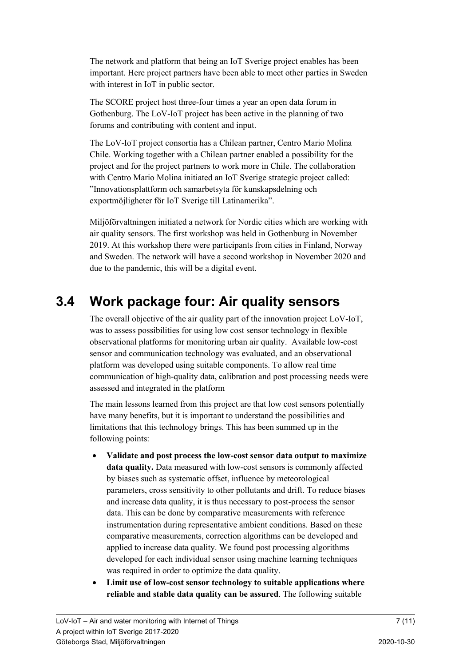The network and platform that being an IoT Sverige project enables has been important. Here project partners have been able to meet other parties in Sweden with interest in IoT in public sector.

The SCORE project host three-four times a year an open data forum in Gothenburg. The LoV-IoT project has been active in the planning of two forums and contributing with content and input.

The LoV-IoT project consortia has a Chilean partner, Centro Mario Molina Chile. Working together with a Chilean partner enabled a possibility for the project and for the project partners to work more in Chile. The collaboration with Centro Mario Molina initiated an IoT Sverige strategic project called: "Innovationsplattform och samarbetsyta för kunskapsdelning och exportmöjligheter för IoT Sverige till Latinamerika".

Miljöförvaltningen initiated a network for Nordic cities which are working with air quality sensors. The first workshop was held in Gothenburg in November 2019. At this workshop there were participants from cities in Finland, Norway and Sweden. The network will have a second workshop in November 2020 and due to the pandemic, this will be a digital event.

### 3.4 Work package four: Air quality sensors

The overall objective of the air quality part of the innovation project LoV-IoT, was to assess possibilities for using low cost sensor technology in flexible observational platforms for monitoring urban air quality. Available low-cost sensor and communication technology was evaluated, and an observational platform was developed using suitable components. To allow real time communication of high-quality data, calibration and post processing needs were assessed and integrated in the platform

The main lessons learned from this project are that low cost sensors potentially have many benefits, but it is important to understand the possibilities and limitations that this technology brings. This has been summed up in the following points:

- Validate and post process the low-cost sensor data output to maximize data quality. Data measured with low-cost sensors is commonly affected by biases such as systematic offset, influence by meteorological parameters, cross sensitivity to other pollutants and drift. To reduce biases and increase data quality, it is thus necessary to post-process the sensor data. This can be done by comparative measurements with reference instrumentation during representative ambient conditions. Based on these comparative measurements, correction algorithms can be developed and applied to increase data quality. We found post processing algorithms developed for each individual sensor using machine learning techniques was required in order to optimize the data quality.
- Limit use of low-cost sensor technology to suitable applications where reliable and stable data quality can be assured. The following suitable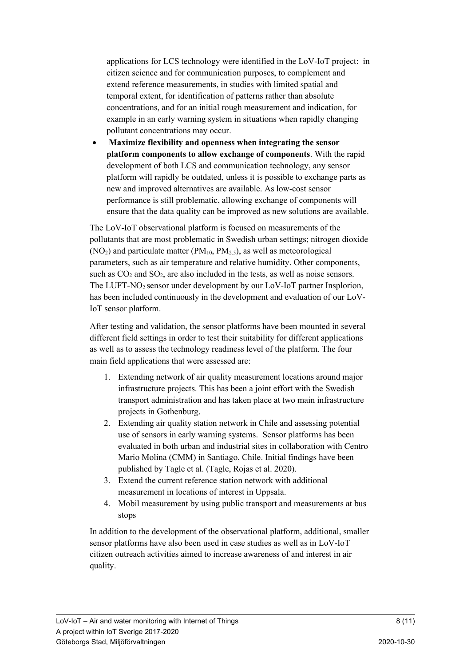applications for LCS technology were identified in the LoV-IoT project: in citizen science and for communication purposes, to complement and extend reference measurements, in studies with limited spatial and temporal extent, for identification of patterns rather than absolute concentrations, and for an initial rough measurement and indication, for example in an early warning system in situations when rapidly changing pollutant concentrations may occur.

 Maximize flexibility and openness when integrating the sensor platform components to allow exchange of components. With the rapid development of both LCS and communication technology, any sensor platform will rapidly be outdated, unless it is possible to exchange parts as new and improved alternatives are available. As low-cost sensor performance is still problematic, allowing exchange of components will ensure that the data quality can be improved as new solutions are available.

The LoV-IoT observational platform is focused on measurements of the pollutants that are most problematic in Swedish urban settings; nitrogen dioxide  $(NO_2)$  and particulate matter (PM<sub>10</sub>, PM<sub>2.5</sub>), as well as meteorological parameters, such as air temperature and relative humidity. Other components, such as  $CO<sub>2</sub>$  and  $SO<sub>2</sub>$ , are also included in the tests, as well as noise sensors. The LUFT-NO<sub>2</sub> sensor under development by our LoV-IoT partner Insplorion, has been included continuously in the development and evaluation of our LoV-IoT sensor platform.

After testing and validation, the sensor platforms have been mounted in several different field settings in order to test their suitability for different applications as well as to assess the technology readiness level of the platform. The four main field applications that were assessed are:

- 1. Extending network of air quality measurement locations around major infrastructure projects. This has been a joint effort with the Swedish transport administration and has taken place at two main infrastructure projects in Gothenburg.
- 2. Extending air quality station network in Chile and assessing potential use of sensors in early warning systems. Sensor platforms has been evaluated in both urban and industrial sites in collaboration with Centro Mario Molina (CMM) in Santiago, Chile. Initial findings have been published by Tagle et al. (Tagle, Rojas et al. 2020).
- 3. Extend the current reference station network with additional measurement in locations of interest in Uppsala.
- 4. Mobil measurement by using public transport and measurements at bus stops

In addition to the development of the observational platform, additional, smaller sensor platforms have also been used in case studies as well as in LoV-IoT citizen outreach activities aimed to increase awareness of and interest in air quality.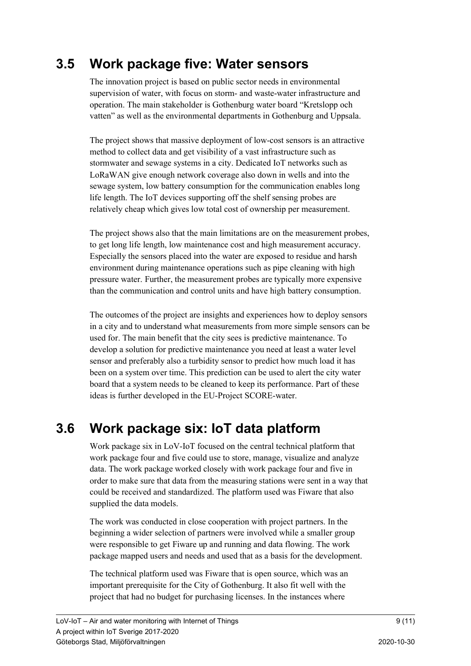### 3.5 Work package five: Water sensors

The innovation project is based on public sector needs in environmental supervision of water, with focus on storm- and waste-water infrastructure and operation. The main stakeholder is Gothenburg water board "Kretslopp och vatten" as well as the environmental departments in Gothenburg and Uppsala.

The project shows that massive deployment of low-cost sensors is an attractive method to collect data and get visibility of a vast infrastructure such as stormwater and sewage systems in a city. Dedicated IoT networks such as LoRaWAN give enough network coverage also down in wells and into the sewage system, low battery consumption for the communication enables long life length. The IoT devices supporting off the shelf sensing probes are relatively cheap which gives low total cost of ownership per measurement.

The project shows also that the main limitations are on the measurement probes, to get long life length, low maintenance cost and high measurement accuracy. Especially the sensors placed into the water are exposed to residue and harsh environment during maintenance operations such as pipe cleaning with high pressure water. Further, the measurement probes are typically more expensive than the communication and control units and have high battery consumption.

The outcomes of the project are insights and experiences how to deploy sensors in a city and to understand what measurements from more simple sensors can be used for. The main benefit that the city sees is predictive maintenance. To develop a solution for predictive maintenance you need at least a water level sensor and preferably also a turbidity sensor to predict how much load it has been on a system over time. This prediction can be used to alert the city water board that a system needs to be cleaned to keep its performance. Part of these ideas is further developed in the EU-Project SCORE-water.

### 3.6 Work package six: IoT data platform

Work package six in LoV-IoT focused on the central technical platform that work package four and five could use to store, manage, visualize and analyze data. The work package worked closely with work package four and five in order to make sure that data from the measuring stations were sent in a way that could be received and standardized. The platform used was Fiware that also supplied the data models.

The work was conducted in close cooperation with project partners. In the beginning a wider selection of partners were involved while a smaller group were responsible to get Fiware up and running and data flowing. The work package mapped users and needs and used that as a basis for the development.

The technical platform used was Fiware that is open source, which was an important prerequisite for the City of Gothenburg. It also fit well with the project that had no budget for purchasing licenses. In the instances where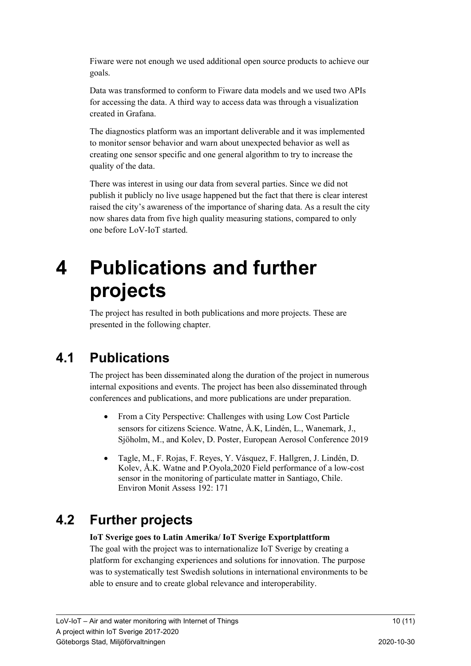Fiware were not enough we used additional open source products to achieve our goals.

Data was transformed to conform to Fiware data models and we used two APIs for accessing the data. A third way to access data was through a visualization created in Grafana.

The diagnostics platform was an important deliverable and it was implemented to monitor sensor behavior and warn about unexpected behavior as well as creating one sensor specific and one general algorithm to try to increase the quality of the data.

There was interest in using our data from several parties. Since we did not publish it publicly no live usage happened but the fact that there is clear interest raised the city's awareness of the importance of sharing data. As a result the city now shares data from five high quality measuring stations, compared to only one before LoV-IoT started.

## 4 Publications and further projects

The project has resulted in both publications and more projects. These are presented in the following chapter.

## 4.1 Publications

The project has been disseminated along the duration of the project in numerous internal expositions and events. The project has been also disseminated through conferences and publications, and more publications are under preparation.

- From a City Perspective: Challenges with using Low Cost Particle sensors for citizens Science. Watne, Å.K, Lindén, L., Wanemark, J., Sjöholm, M., and Kolev, D. Poster, European Aerosol Conference 2019
- Tagle, M., F. Rojas, F. Reyes, Y. Vásquez, F. Hallgren, J. Lindén, D. Kolev, Å.K. Watne and P.Oyola,2020 Field performance of a low-cost sensor in the monitoring of particulate matter in Santiago, Chile. Environ Monit Assess 192: 171

### 4.2 Further projects

#### IoT Sverige goes to Latin Amerika/ IoT Sverige Exportplattform

The goal with the project was to internationalize IoT Sverige by creating a platform for exchanging experiences and solutions for innovation. The purpose was to systematically test Swedish solutions in international environments to be able to ensure and to create global relevance and interoperability.